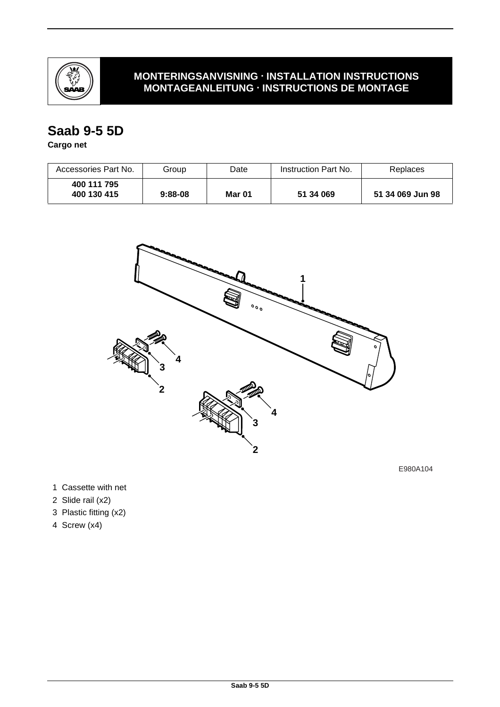

### **MONTERINGSANVISNING · INSTALLATION INSTRUCTIONS MONTAGEANLEITUNG · INSTRUCTIONS DE MONTAGE**

## **Saab 9-5 5D**

### **Cargo net**

| Accessories Part No.       | Group     | Date   | Instruction Part No. | Replaces         |
|----------------------------|-----------|--------|----------------------|------------------|
| 400 111 795<br>400 130 415 | $9:88-08$ | Mar 01 | 51 34 069            | 51 34 069 Jun 98 |



E980A104

1 Cassette with net

- 2 Slide rail (x2)
- 3 Plastic fitting (x2)
- 4 Screw (x4)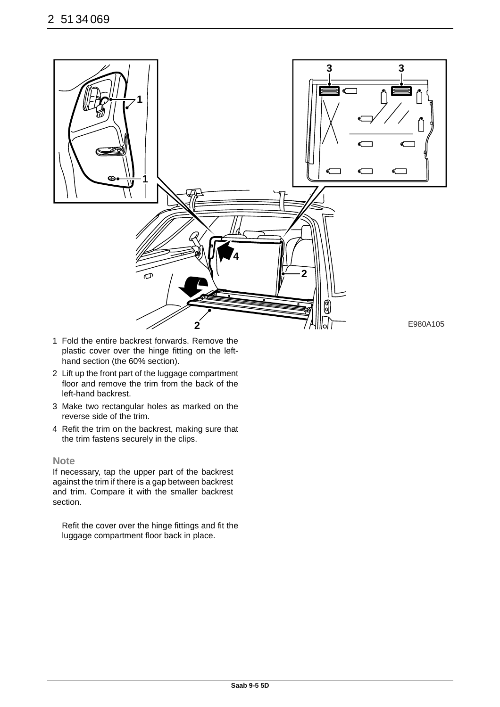

- 1 Fold the entire backrest forwards. Remove the plastic cover over the hinge fitting on the lefthand section (the 60% section).
- 2 Lift up the front part of the luggage compartment floor and remove the trim from the back of the left-hand backrest.
- 3 Make two rectangular holes as marked on the reverse side of the trim.
- 4 Refit the trim on the backrest, making sure that the trim fastens securely in the clips.

#### **Note**

If necessary, tap the upper part of the backrest against the trim if there is a gap between backrest and trim. Compare it with the smaller backrest section.

Refit the cover over the hinge fittings and fit the luggage compartment floor back in place.